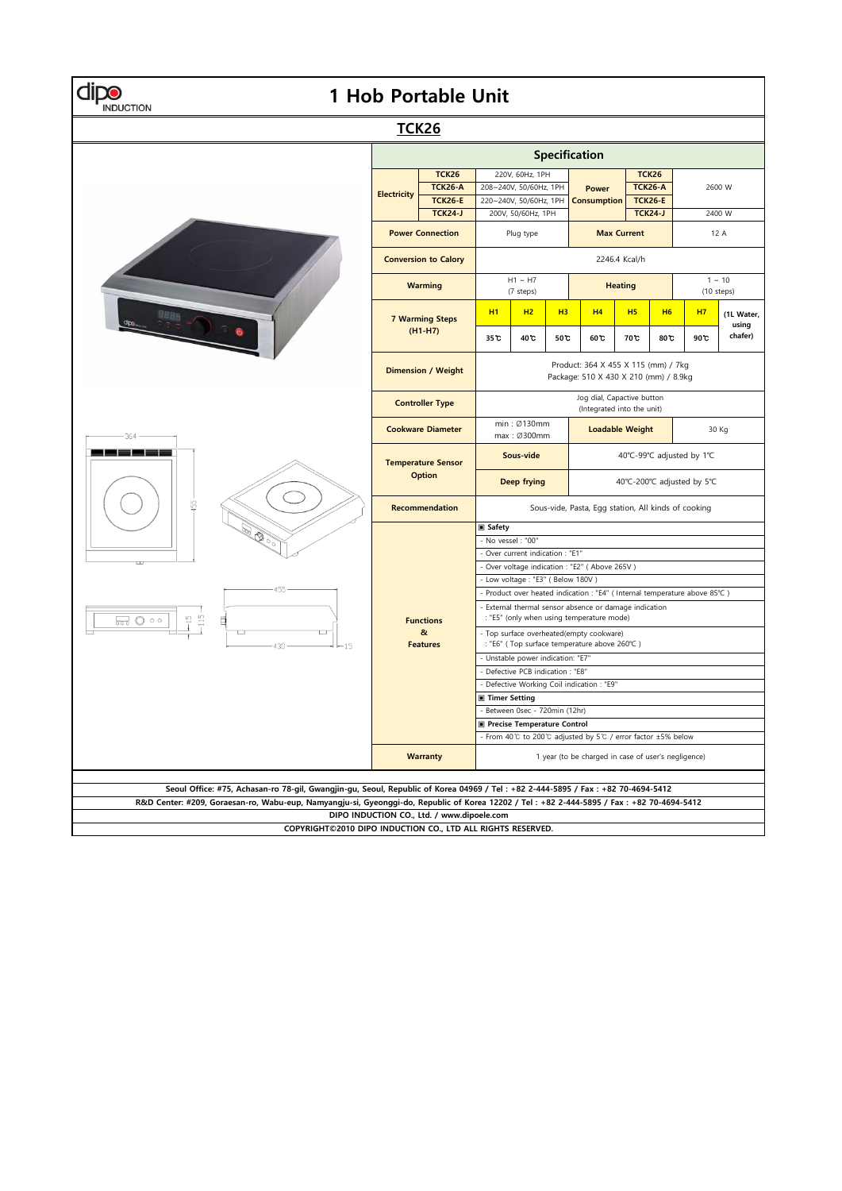| 1 Hob Portable Unit<br>NDUCTION                                                                                                                                                         |                                            |                                                 |                                                                                                     |      |                                                     |                                    |                           |                                  |                           |                     |  |  |
|-----------------------------------------------------------------------------------------------------------------------------------------------------------------------------------------|--------------------------------------------|-------------------------------------------------|-----------------------------------------------------------------------------------------------------|------|-----------------------------------------------------|------------------------------------|---------------------------|----------------------------------|---------------------------|---------------------|--|--|
| <b>TCK26</b>                                                                                                                                                                            |                                            |                                                 |                                                                                                     |      |                                                     |                                    |                           |                                  |                           |                     |  |  |
| Specification                                                                                                                                                                           |                                            |                                                 |                                                                                                     |      |                                                     |                                    |                           |                                  |                           |                     |  |  |
| $-364 -$<br>55<br>$\mathscr{D}$<br>455<br>$-115$<br>$-15$<br>ದ © ∘<br>430<br>15                                                                                                         | <b>Electricity</b>                         | <b>TCK26</b>                                    | 220V, 60Hz, 1PH<br>208~240V, 50/60Hz, 1PH<br>220~240V, 50/60Hz, 1PH<br>200V, 50/60Hz, 1PH           |      |                                                     |                                    |                           | <b>TCK26</b>                     | 2600 W<br>2400 W          |                     |  |  |
|                                                                                                                                                                                         |                                            | <b>TCK26-A</b><br><b>TCK26-E</b>                |                                                                                                     |      |                                                     | <b>Power</b><br><b>Consumption</b> |                           | <b>TCK26-A</b><br><b>TCK26-E</b> |                           |                     |  |  |
|                                                                                                                                                                                         |                                            | <b>TCK24-J</b>                                  |                                                                                                     |      |                                                     |                                    |                           | <b>TCK24-J</b>                   |                           |                     |  |  |
|                                                                                                                                                                                         | <b>Power Connection</b>                    |                                                 | Plug type                                                                                           |      |                                                     | <b>Max Current</b>                 |                           |                                  | 12 A                      |                     |  |  |
|                                                                                                                                                                                         | <b>Conversion to Calory</b>                |                                                 | 2246.4 Kcal/h                                                                                       |      |                                                     |                                    |                           |                                  |                           |                     |  |  |
|                                                                                                                                                                                         | <b>Warming</b>                             |                                                 | $H1 \sim H7$<br>(7 steps)                                                                           |      |                                                     | <b>Heating</b>                     |                           |                                  | $1 \sim 10$<br>(10 steps) |                     |  |  |
|                                                                                                                                                                                         | <b>7 Warming Steps</b>                     |                                                 | <b>H1</b>                                                                                           | H2   | H <sub>3</sub>                                      | H <sub>4</sub>                     | H <sub>5</sub>            | <b>H6</b>                        | H <sub>7</sub>            | (1L Water,<br>using |  |  |
|                                                                                                                                                                                         |                                            | $(H1-H7)$                                       | 35 C                                                                                                | 40 C | 50 C                                                | 60 <sup>t</sup>                    | 70 <sup>t</sup>           | 80C                              | 90 C                      | chafer)             |  |  |
|                                                                                                                                                                                         | <b>Dimension / Weight</b>                  |                                                 | Product: 364 X 455 X 115 (mm) / 7kg<br>Package: 510 X 430 X 210 (mm) / 8.9kg                        |      |                                                     |                                    |                           |                                  |                           |                     |  |  |
|                                                                                                                                                                                         | <b>Controller Type</b>                     |                                                 | Jog dial, Capactive button<br>(Integrated into the unit)                                            |      |                                                     |                                    |                           |                                  |                           |                     |  |  |
|                                                                                                                                                                                         | <b>Cookware Diameter</b>                   |                                                 | min: Ø130mm<br>max: Ø300mm                                                                          |      |                                                     | <b>Loadable Weight</b>             |                           |                                  | 30 Kg                     |                     |  |  |
|                                                                                                                                                                                         | <b>Temperature Sensor</b><br><b>Option</b> |                                                 | Sous-vide                                                                                           |      |                                                     |                                    | 40°C-99°C adjusted by 1°C |                                  |                           |                     |  |  |
|                                                                                                                                                                                         |                                            |                                                 | Deep frying<br>40°C-200°C adjusted by 5°C                                                           |      |                                                     |                                    |                           |                                  |                           |                     |  |  |
|                                                                                                                                                                                         |                                            | Recommendation                                  |                                                                                                     |      | Sous-vide, Pasta, Egg station, All kinds of cooking |                                    |                           |                                  |                           |                     |  |  |
|                                                                                                                                                                                         |                                            |                                                 | <b>■ Safety</b><br>- No vessel : "00"                                                               |      |                                                     |                                    |                           |                                  |                           |                     |  |  |
|                                                                                                                                                                                         |                                            | - Over current indication : "E1"                |                                                                                                     |      |                                                     |                                    |                           |                                  |                           |                     |  |  |
|                                                                                                                                                                                         |                                            | - Over voltage indication : "E2" ( Above 265V ) |                                                                                                     |      |                                                     |                                    |                           |                                  |                           |                     |  |  |
|                                                                                                                                                                                         |                                            |                                                 | - Low voltage : "E3" ( Below 180V )                                                                 |      |                                                     |                                    |                           |                                  |                           |                     |  |  |
|                                                                                                                                                                                         | <b>Functions</b><br>&<br><b>Features</b>   |                                                 | - Product over heated indication : "E4" ( Internal temperature above 85°C )                         |      |                                                     |                                    |                           |                                  |                           |                     |  |  |
|                                                                                                                                                                                         |                                            |                                                 | - External thermal sensor absence or damage indication<br>: "E5" (only when using temperature mode) |      |                                                     |                                    |                           |                                  |                           |                     |  |  |
|                                                                                                                                                                                         |                                            |                                                 | - Top surface overheated(empty cookware)<br>: "E6" ( Top surface temperature above 260°C )          |      |                                                     |                                    |                           |                                  |                           |                     |  |  |
|                                                                                                                                                                                         |                                            |                                                 | - Unstable power indication: "E7"                                                                   |      |                                                     |                                    |                           |                                  |                           |                     |  |  |
|                                                                                                                                                                                         |                                            |                                                 | - Defective PCB indication : "E8"                                                                   |      |                                                     |                                    |                           |                                  |                           |                     |  |  |
|                                                                                                                                                                                         |                                            |                                                 | - Defective Working Coil indication : "E9"                                                          |      |                                                     |                                    |                           |                                  |                           |                     |  |  |
|                                                                                                                                                                                         |                                            |                                                 | ■ Timer Setting<br>Between 0sec - 720min (12hr)                                                     |      |                                                     |                                    |                           |                                  |                           |                     |  |  |
|                                                                                                                                                                                         |                                            | Precise Temperature Control                     |                                                                                                     |      |                                                     |                                    |                           |                                  |                           |                     |  |  |
|                                                                                                                                                                                         |                                            |                                                 | - From 40°C to 200°C adjusted by 5°C / error factor ±5% below                                       |      |                                                     |                                    |                           |                                  |                           |                     |  |  |
|                                                                                                                                                                                         |                                            | <b>Warranty</b>                                 | 1 year (to be charged in case of user's negligence)                                                 |      |                                                     |                                    |                           |                                  |                           |                     |  |  |
|                                                                                                                                                                                         |                                            |                                                 |                                                                                                     |      |                                                     |                                    |                           |                                  |                           |                     |  |  |
| Seoul Office: #75, Achasan-ro 78-gil, Gwangjin-gu, Seoul, Republic of Korea 04969 / Tel: +82 2-444-5895 / Fax: +82 70-4694-5412                                                         |                                            |                                                 |                                                                                                     |      |                                                     |                                    |                           |                                  |                           |                     |  |  |
| R&D Center: #209, Goraesan-ro, Wabu-eup, Namyangju-si, Gyeonggi-do, Republic of Korea 12202 / Tel: +82 2-444-5895 / Fax: +82 70-4694-5412<br>DIPO INDUCTION CO., Ltd. / www.dipoele.com |                                            |                                                 |                                                                                                     |      |                                                     |                                    |                           |                                  |                           |                     |  |  |
| COPYRIGHT©2010 DIPO INDUCTION CO., LTD ALL RIGHTS RESERVED.                                                                                                                             |                                            |                                                 |                                                                                                     |      |                                                     |                                    |                           |                                  |                           |                     |  |  |